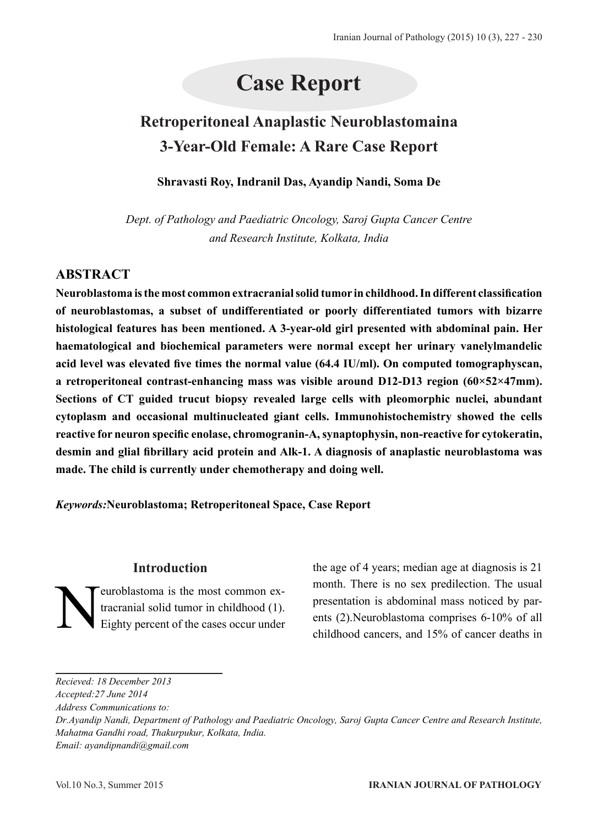# **Case Report**

# **Retroperitoneal Anaplastic Neuroblastomaina 3-Year-Old Female: A Rare Case Report**

#### **Shravasti Roy, Indranil Das, Ayandip Nandi, Soma De**

*Dept. of Pathology and Paediatric Oncology, Saroj Gupta Cancer Centre and Research Institute, Kolkata, India*

## **ABSTRACT**

**Neuroblastoma is the most common extracranial solid tumor in childhood. In different classification of neuroblastomas, a subset of undifferentiated or poorly differentiated tumors with bizarre histological features has been mentioned. A 3-year-old girl presented with abdominal pain. Her haematological and biochemical parameters were normal except her urinary vanelylmandelic acid level was elevated five times the normal value (64.4 IU/ml). On computed tomographyscan, a retroperitoneal contrast-enhancing mass was visible around D12-D13 region (60×52×47mm). Sections of CT guided trucut biopsy revealed large cells with pleomorphic nuclei, abundant cytoplasm and occasional multinucleated giant cells. Immunohistochemistry showed the cells reactive for neuron specific enolase, chromogranin-A, synaptophysin, non-reactive for cytokeratin, desmin and glial fibrillary acid protein and Alk-1. A diagnosis of anaplastic neuroblastoma was made. The child is currently under chemotherapy and doing well.**

*Keywords:***Neuroblastoma; Retroperitoneal Space, Case Report**

## **Introduction**

Feuroblastoma is the most common ex-<br>tracranial solid tumor in childhood (1).<br>Eighty percent of the cases occur under tracranial solid tumor in childhood (1). Eighty percent of the cases occur under

the age of 4 years; median age at diagnosis is 21 month. There is no sex predilection. The usual presentation is abdominal mass noticed by parents (2).Neuroblastoma comprises 6-10% of all childhood cancers, and 15% of cancer deaths in

*Recieved: 18 December 2013*

*Accepted:27 June 2014*

*Address Communications to:* 

*Dr.Ayandip Nandi, Department of Pathology and Paediatric Oncology, Saroj Gupta Cancer Centre and Research Institute, Mahatma Gandhi road, Thakurpukur, Kolkata, India. Email: ayandipnandi@gmail.com*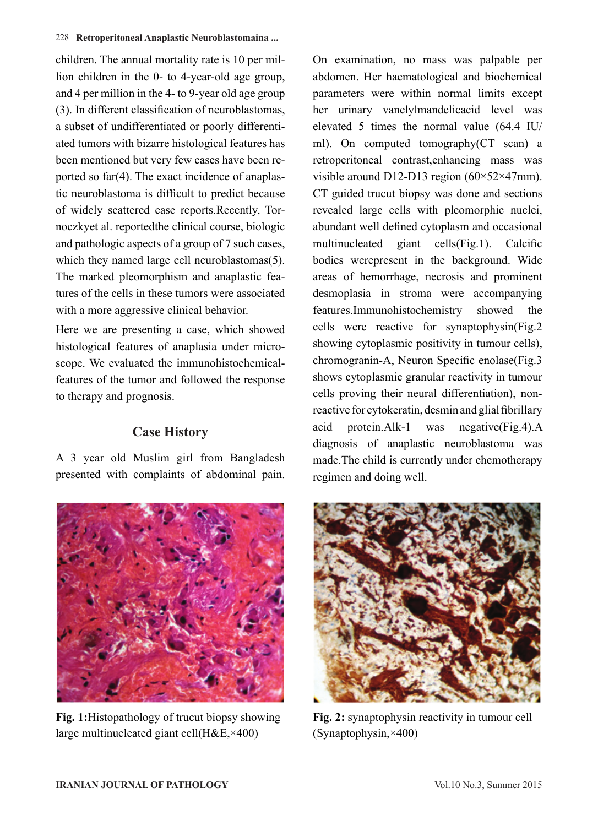#### 228 **Retroperitoneal Anaplastic Neuroblastomaina ...**

children. The annual mortality rate is 10 per million children in the 0- to 4-year-old age group, and 4 per million in the 4- to 9-year old age group (3). In different classification of neuroblastomas, a subset of undifferentiated or poorly differentiated tumors with bizarre histological features has been mentioned but very few cases have been reported so far(4). The exact incidence of anaplastic neuroblastoma is difficult to predict because of widely scattered case reports.Recently, Tornoczkyet al. reportedthe clinical course, biologic and pathologic aspects of a group of 7 such cases, which they named large cell neuroblastomas(5). The marked pleomorphism and anaplastic features of the cells in these tumors were associated with a more aggressive clinical behavior.

Here we are presenting a case, which showed histological features of anaplasia under microscope. We evaluated the immunohistochemicalfeatures of the tumor and followed the response to therapy and prognosis.

## **Case History**

A 3 year old Muslim girl from Bangladesh presented with complaints of abdominal pain.



**Fig. 1:**Histopathology of trucut biopsy showing large multinucleated giant cell(H&E,×400)

On examination, no mass was palpable per abdomen. Her haematological and biochemical parameters were within normal limits except her urinary vanelylmandelicacid level was elevated 5 times the normal value (64.4 IU/ ml). On computed tomography(CT scan) a retroperitoneal contrast,enhancing mass was visible around D12-D13 region (60×52×47mm). CT guided trucut biopsy was done and sections revealed large cells with pleomorphic nuclei, abundant well defined cytoplasm and occasional multinucleated giant cells(Fig.1). Calcific bodies werepresent in the background. Wide areas of hemorrhage, necrosis and prominent desmoplasia in stroma were accompanying features.Immunohistochemistry showed the cells were reactive for synaptophysin(Fig.2 showing cytoplasmic positivity in tumour cells), chromogranin-A, Neuron Specific enolase(Fig.3 shows cytoplasmic granular reactivity in tumour cells proving their neural differentiation), nonreactive for cytokeratin, desmin and glial fibrillary acid protein.Alk-1 was negative(Fig.4).A diagnosis of anaplastic neuroblastoma was made.The child is currently under chemotherapy regimen and doing well.



**Fig. 2:** synaptophysin reactivity in tumour cell (Synaptophysin,×400)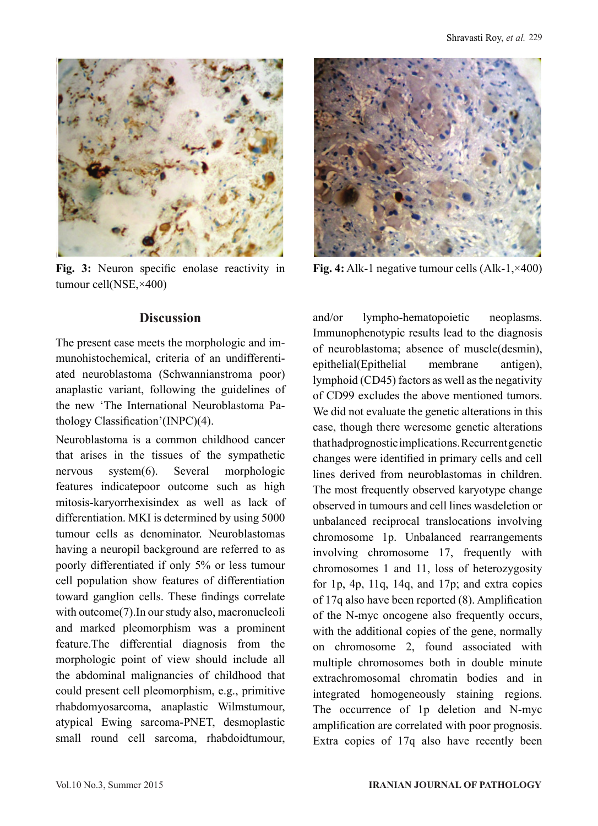

**Fig. 3:** Neuron specific enolase reactivity in tumour cell(NSE,×400)

## **Discussion**

The present case meets the morphologic and immunohistochemical, criteria of an undifferentiated neuroblastoma (Schwannianstroma poor) anaplastic variant, following the guidelines of the new 'The International Neuroblastoma Pathology Classification'(INPC)(4).

Neuroblastoma is a common childhood cancer that arises in the tissues of the sympathetic nervous system(6). Several morphologic features indicatepoor outcome such as high mitosis-karyorrhexisindex as well as lack of differentiation. MKI is determined by using 5000 tumour cells as denominator. Neuroblastomas having a neuropil background are referred to as poorly differentiated if only 5% or less tumour cell population show features of differentiation toward ganglion cells. These findings correlate with outcome(7).In our study also, macronucleoli and marked pleomorphism was a prominent feature.The differential diagnosis from the morphologic point of view should include all the abdominal malignancies of childhood that could present cell pleomorphism, e.g., primitive rhabdomyosarcoma, anaplastic Wilmstumour, atypical Ewing sarcoma-PNET, desmoplastic small round cell sarcoma, rhabdoidtumour,



**Fig. 4:** Alk-1 negative tumour cells (Alk-1,×400)

and/or lympho-hematopoietic neoplasms. Immunophenotypic results lead to the diagnosis of neuroblastoma; absence of muscle(desmin), epithelial(Epithelial membrane antigen), lymphoid (CD45) factors as well as the negativity of CD99 excludes the above mentioned tumors. We did not evaluate the genetic alterations in this case, though there weresome genetic alterations that hadprognostic implications. Recurrent genetic changes were identified in primary cells and cell lines derived from neuroblastomas in children. The most frequently observed karyotype change observed in tumours and cell lines wasdeletion or unbalanced reciprocal translocations involving chromosome 1p. Unbalanced rearrangements involving chromosome 17, frequently with chromosomes 1 and 11, loss of heterozygosity for 1p, 4p, 11q, 14q, and 17p; and extra copies of 17q also have been reported (8). Amplification of the N-myc oncogene also frequently occurs, with the additional copies of the gene, normally on chromosome 2, found associated with multiple chromosomes both in double minute extrachromosomal chromatin bodies and in integrated homogeneously staining regions. The occurrence of 1p deletion and N-myc amplification are correlated with poor prognosis. Extra copies of 17q also have recently been